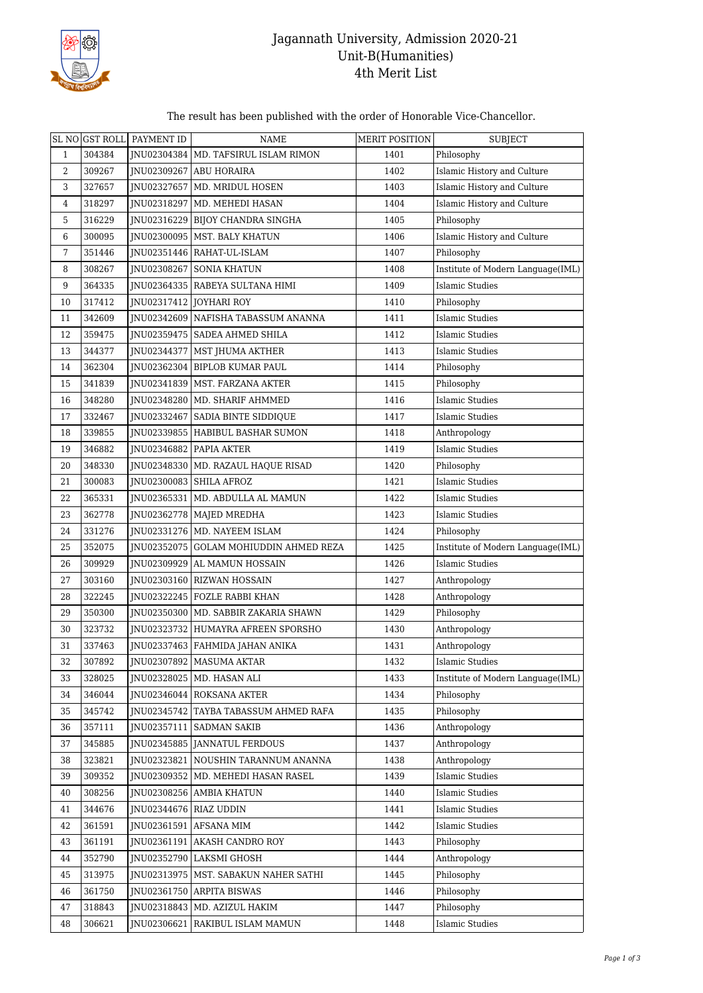

## Jagannath University, Admission 2020-21 Unit-B(Humanities) 4th Merit List

## The result has been published with the order of Honorable Vice-Chancellor.

|                |        | SL NO GST ROLL PAYMENT ID | <b>NAME</b>                              | MERIT POSITION | <b>SUBJECT</b>                    |
|----------------|--------|---------------------------|------------------------------------------|----------------|-----------------------------------|
| $\mathbf{1}$   | 304384 |                           | JNU02304384   MD. TAFSIRUL ISLAM RIMON   | 1401           | Philosophy                        |
| 2              | 309267 |                           | JNU02309267   ABU HORAIRA                | 1402           | Islamic History and Culture       |
| 3              | 327657 |                           | JNU02327657   MD. MRIDUL HOSEN           | 1403           | Islamic History and Culture       |
| $\overline{4}$ | 318297 |                           | JNU02318297   MD. MEHEDI HASAN           | 1404           | Islamic History and Culture       |
| 5              | 316229 |                           | JNU02316229   BIJOY CHANDRA SINGHA       | 1405           | Philosophy                        |
| 6              | 300095 |                           | JNU02300095   MST. BALY KHATUN           | 1406           | Islamic History and Culture       |
| 7              | 351446 |                           | JNU02351446 RAHAT-UL-ISLAM               | 1407           | Philosophy                        |
| 8              | 308267 |                           | JNU02308267   SONIA KHATUN               | 1408           | Institute of Modern Language(IML) |
| 9              | 364335 |                           | JNU02364335   RABEYA SULTANA HIMI        | 1409           | Islamic Studies                   |
| 10             | 317412 |                           | JNU02317412 JOYHARI ROY                  | 1410           | Philosophy                        |
| 11             | 342609 |                           | JNU02342609   NAFISHA TABASSUM ANANNA    | 1411           | <b>Islamic Studies</b>            |
| 12             | 359475 |                           | JNU02359475   SADEA AHMED SHILA          | 1412           | Islamic Studies                   |
| 13             | 344377 |                           | JNU02344377   MST JHUMA AKTHER           | 1413           | <b>Islamic Studies</b>            |
| 14             | 362304 |                           | JNU02362304   BIPLOB KUMAR PAUL          | 1414           | Philosophy                        |
| 15             | 341839 |                           | INU02341839   MST. FARZANA AKTER         | 1415           | Philosophy                        |
| 16             | 348280 |                           | JNU02348280   MD. SHARIF AHMMED          | 1416           | <b>Islamic Studies</b>            |
| 17             | 332467 |                           | JNU02332467 SADIA BINTE SIDDIQUE         | 1417           | <b>Islamic Studies</b>            |
| 18             | 339855 |                           | JNU02339855   HABIBUL BASHAR SUMON       | 1418           | Anthropology                      |
| 19             | 346882 |                           | JNU02346882   PAPIA AKTER                | 1419           | <b>Islamic Studies</b>            |
| 20             | 348330 |                           | JNU02348330   MD. RAZAUL HAQUE RISAD     | 1420           | Philosophy                        |
| 21             | 300083 |                           | JNU02300083 SHILA AFROZ                  | 1421           | <b>Islamic Studies</b>            |
| 22             | 365331 |                           | JNU02365331   MD. ABDULLA AL MAMUN       | 1422           | Islamic Studies                   |
| 23             | 362778 |                           | JNU02362778   MAJED MREDHA               | 1423           | <b>Islamic Studies</b>            |
| 24             | 331276 |                           | JNU02331276   MD. NAYEEM ISLAM           | 1424           | Philosophy                        |
| 25             | 352075 |                           | JNU02352075   GOLAM MOHIUDDIN AHMED REZA | 1425           | Institute of Modern Language(IML) |
| 26             | 309929 |                           | JNU02309929 AL MAMUN HOSSAIN             | 1426           | Islamic Studies                   |
| 27             | 303160 |                           | JNU02303160 RIZWAN HOSSAIN               | 1427           | Anthropology                      |
| 28             | 322245 |                           | JNU02322245 FOZLE RABBI KHAN             | 1428           | Anthropology                      |
| 29             | 350300 |                           | JNU02350300   MD. SABBIR ZAKARIA SHAWN   | 1429           | Philosophy                        |
| 30             | 323732 |                           | JNU02323732 HUMAYRA AFREEN SPORSHO       | 1430           | Anthropology                      |
| 31             | 337463 |                           | JNU02337463   FAHMIDA JAHAN ANIKA        | 1431           | Anthropology                      |
| 32             | 307892 |                           | JNU02307892   MASUMA AKTAR               | 1432           | <b>Islamic Studies</b>            |
| 33             | 328025 |                           | JNU02328025   MD. HASAN ALI              | 1433           | Institute of Modern Language(IML) |
| 34             | 346044 |                           | JNU02346044 ROKSANA AKTER                | 1434           | Philosophy                        |
| 35             | 345742 |                           | INU02345742 TAYBA TABASSUM AHMED RAFA    | 1435           | Philosophy                        |
| 36             | 357111 |                           | INU02357111 SADMAN SAKIB                 | 1436           | Anthropology                      |
| 37             | 345885 |                           | JNU02345885   JANNATUL FERDOUS           | 1437           | Anthropology                      |
| 38             | 323821 | JNU02323821               | NOUSHIN TARANNUM ANANNA                  | 1438           | Anthropology                      |
| 39             | 309352 | JNU02309352               | MD. MEHEDI HASAN RASEL                   | 1439           | <b>Islamic Studies</b>            |
| 40             | 308256 |                           | <b>INU02308256 AMBIA KHATUN</b>          | 1440           | <b>Islamic Studies</b>            |
| 41             | 344676 | JNU02344676 RIAZ UDDIN    |                                          | 1441           | <b>Islamic Studies</b>            |
| 42             | 361591 |                           | JNU02361591   AFSANA MIM                 | 1442           | <b>Islamic Studies</b>            |
| 43             | 361191 |                           | JNU02361191 AKASH CANDRO ROY             | 1443           | Philosophy                        |
| 44             | 352790 |                           | JNU02352790   LAKSMI GHOSH               | 1444           | Anthropology                      |
| 45             | 313975 |                           | JNU02313975   MST. SABAKUN NAHER SATHI   | 1445           | Philosophy                        |
| 46             | 361750 |                           | JNU02361750 ARPITA BISWAS                | 1446           | Philosophy                        |
| 47             | 318843 |                           | JNU02318843   MD. AZIZUL HAKIM           | 1447           | Philosophy                        |
| 48             | 306621 |                           | JNU02306621   RAKIBUL ISLAM MAMUN        | 1448           | <b>Islamic Studies</b>            |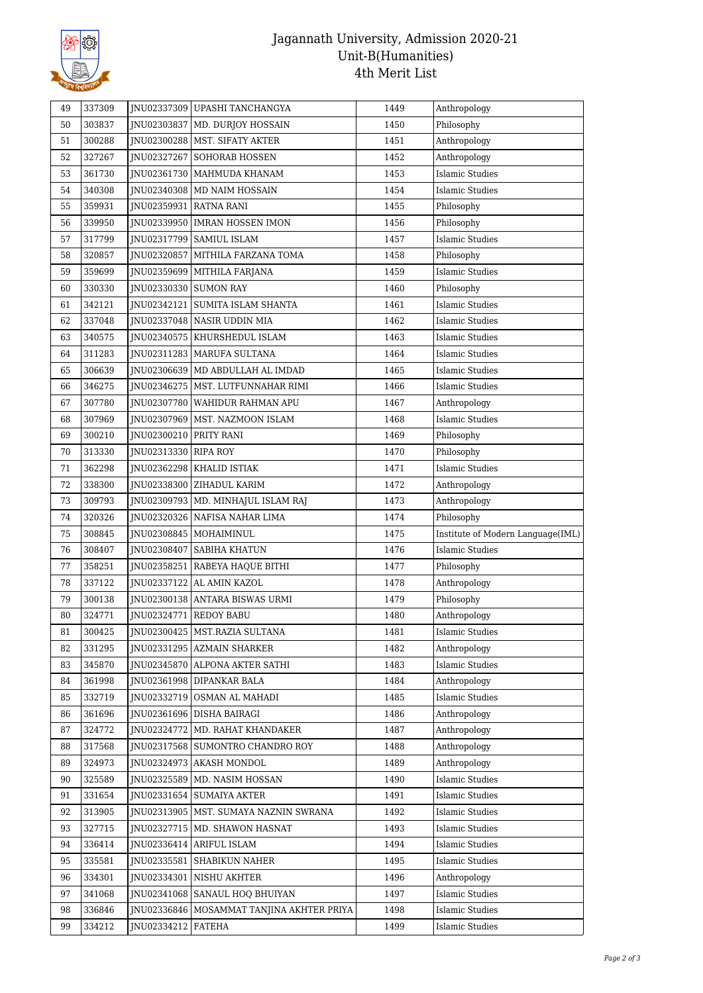

## Jagannath University, Admission 2020-21 Unit-B(Humanities) 4th Merit List

| 49 | 337309 |                          | JNU02337309 UPASHI TANCHANGYA           | 1449 | Anthropology                      |
|----|--------|--------------------------|-----------------------------------------|------|-----------------------------------|
| 50 | 303837 | JNU02303837              | MD. DURJOY HOSSAIN                      | 1450 | Philosophy                        |
| 51 | 300288 |                          | JNU02300288   MST. SIFATY AKTER         | 1451 | Anthropology                      |
| 52 | 327267 |                          | JNU02327267 SOHORAB HOSSEN              | 1452 | Anthropology                      |
| 53 | 361730 | JNU02361730              | MAHMUDA KHANAM                          | 1453 | <b>Islamic Studies</b>            |
| 54 | 340308 |                          | JNU02340308   MD NAIM HOSSAIN           | 1454 | <b>Islamic Studies</b>            |
| 55 | 359931 | JNU02359931   RATNA RANI |                                         | 1455 | Philosophy                        |
| 56 | 339950 | INU02339950              | IMRAN HOSSEN IMON                       | 1456 | Philosophy                        |
| 57 | 317799 | JNU02317799              | <b>SAMIUL ISLAM</b>                     | 1457 | <b>Islamic Studies</b>            |
| 58 | 320857 | JNU02320857              | MITHILA FARZANA TOMA                    | 1458 | Philosophy                        |
| 59 | 359699 | JNU02359699              | MITHILA FARJANA                         | 1459 | Islamic Studies                   |
| 60 | 330330 | JNU02330330              | <b>SUMON RAY</b>                        | 1460 | Philosophy                        |
| 61 | 342121 |                          | JNU02342121   SUMITA ISLAM SHANTA       | 1461 | <b>Islamic Studies</b>            |
| 62 | 337048 |                          | JNU02337048 NASIR UDDIN MIA             | 1462 | Islamic Studies                   |
| 63 | 340575 |                          | INU02340575   KHURSHEDUL ISLAM          | 1463 | Islamic Studies                   |
| 64 | 311283 |                          | JNU02311283   MARUFA SULTANA            | 1464 | <b>Islamic Studies</b>            |
| 65 | 306639 |                          | INU02306639   MD ABDULLAH AL IMDAD      | 1465 | <b>Islamic Studies</b>            |
| 66 | 346275 |                          | INU02346275   MST. LUTFUNNAHAR RIMI     | 1466 | <b>Islamic Studies</b>            |
| 67 | 307780 |                          | JNU02307780 WAHIDUR RAHMAN APU          | 1467 | Anthropology                      |
| 68 | 307969 |                          | JNU02307969   MST. NAZMOON ISLAM        | 1468 | <b>Islamic Studies</b>            |
| 69 | 300210 | JNU02300210 PRITY RANI   |                                         | 1469 | Philosophy                        |
| 70 | 313330 | JNU02313330 RIPA ROY     |                                         | 1470 | Philosophy                        |
| 71 | 362298 |                          | JNU02362298   KHALID ISTIAK             | 1471 | Islamic Studies                   |
| 72 | 338300 |                          | JNU02338300 ZIHADUL KARIM               | 1472 | Anthropology                      |
| 73 | 309793 |                          | JNU02309793   MD. MINHAJUL ISLAM RAJ    | 1473 | Anthropology                      |
| 74 | 320326 |                          | JNU02320326   NAFISA NAHAR LIMA         | 1474 | Philosophy                        |
| 75 | 308845 |                          | JNU02308845   MOHAIMINUL                | 1475 | Institute of Modern Language(IML) |
| 76 | 308407 | JNU02308407              | <b>SABIHA KHATUN</b>                    | 1476 | <b>Islamic Studies</b>            |
| 77 | 358251 |                          | JNU02358251   RABEYA HAQUE BITHI        | 1477 | Philosophy                        |
| 78 | 337122 | JNU02337122              | <b>AL AMIN KAZOL</b>                    | 1478 | Anthropology                      |
| 79 | 300138 |                          | JNU02300138 ANTARA BISWAS URMI          | 1479 | Philosophy                        |
| 80 | 324771 | JNU02324771 REDOY BABU   |                                         | 1480 | Anthropology                      |
| 81 | 300425 |                          | JNU02300425   MST.RAZIA SULTANA         | 1481 | <b>Islamic Studies</b>            |
| 82 | 331295 |                          | JNU02331295 AZMAIN SHARKER              | 1482 | Anthropology                      |
| 83 | 345870 | INU02345870              | <b>ALPONA AKTER SATHI</b>               | 1483 | <b>Islamic Studies</b>            |
| 84 | 361998 |                          | JNU02361998   DIPANKAR BALA             | 1484 | Anthropology                      |
| 85 | 332719 |                          | JNU02332719 OSMAN AL MAHADI             | 1485 | <b>Islamic Studies</b>            |
| 86 | 361696 |                          | INU02361696 DISHA BAIRAGI               | 1486 | Anthropology                      |
| 87 | 324772 |                          | JNU02324772   MD. RAHAT KHANDAKER       | 1487 | Anthropology                      |
| 88 | 317568 |                          | JNU02317568 SUMONTRO CHANDRO ROY        | 1488 | Anthropology                      |
| 89 | 324973 |                          | JNU02324973 AKASH MONDOL                | 1489 | Anthropology                      |
| 90 | 325589 |                          | JNU02325589 MD. NASIM HOSSAN            | 1490 | <b>Islamic Studies</b>            |
| 91 | 331654 |                          | JNU02331654   SUMAIYA AKTER             | 1491 | <b>Islamic Studies</b>            |
| 92 | 313905 |                          | JNU02313905   MST. SUMAYA NAZNIN SWRANA | 1492 | <b>Islamic Studies</b>            |
| 93 | 327715 |                          | JNU02327715   MD. SHAWON HASNAT         | 1493 | <b>Islamic Studies</b>            |
| 94 | 336414 | JNU02336414              | ARIFUL ISLAM                            | 1494 | <b>Islamic Studies</b>            |
| 95 | 335581 | JNU02335581              | <b>SHABIKUN NAHER</b>                   | 1495 | Islamic Studies                   |
| 96 | 334301 | JNU02334301              | NISHU AKHTER                            | 1496 | Anthropology                      |
| 97 | 341068 |                          | JNU02341068   SANAUL HOQ BHUIYAN        | 1497 | <b>Islamic Studies</b>            |
| 98 | 336846 | JNU02336846              | MOSAMMAT TANJINA AKHTER PRIYA           | 1498 | <b>Islamic Studies</b>            |
| 99 | 334212 | JNU02334212 FATEHA       |                                         | 1499 | <b>Islamic Studies</b>            |
|    |        |                          |                                         |      |                                   |